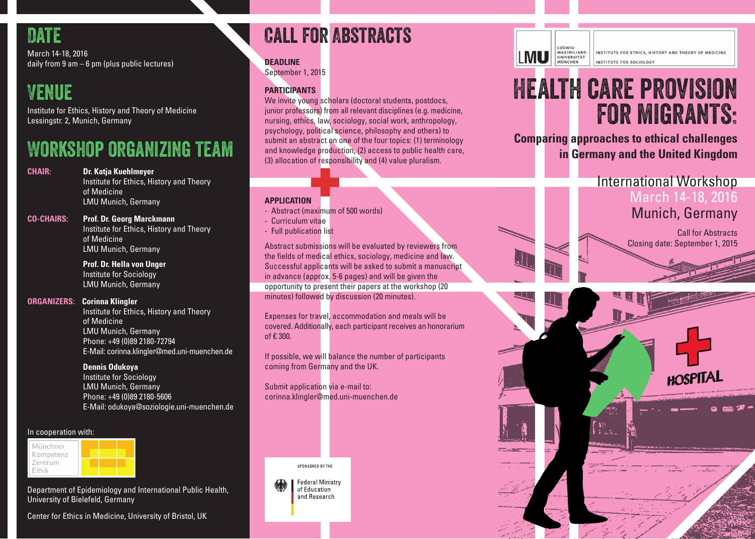

March 14-18, 2016 daily from 9 am – 6 pm (plus public lectures)

# Venue

Institute for Ethics, History and Theory of Medicine Lessingstr. 2, Munich, Germany

# Workshop organizing team

**CHAIR: Dr. Katja Kuehlmeyer** Institute for Ethics, History and Theory of Medicine LMU Munich, Germany

**CO-CHAIRS: Prof. Dr. Georg Marckmann**

 Institute for Ethics, History and Theory of Medicine LMU Munich, Germany

 **Prof. Dr. Hella von Unger** Institute for Sociology LMU Munich, Germany

# **ORGANIZERS: Corinna Klingler**

 Institute for Ethics, History and Theory of Medicine LMU Munich, Germany Phone: +49 (0)89 2180-72794 E-Mail: corinna.klingler@med.uni-muenchen.de

### **Dennis Odukoya**

 Institute for Sociology LMU Munich, Germany Phone: +49 (0)89 2180-5606 E-Mail: odukoya@soziologie.uni-muenchen.de

### In cooperation with:



Department of Epidemiology and International Public Health, University of Bielefeld, Germany

### Center for Ethics in Medicine, University of Bristol, UK

# Call for Abstracts

# **DEADLINE**

September 1, 2015

# **PARTICIPANTS**

We invite young scholars (doctoral students, postdocs, junior professors) from all relevant disciplines (e.g. medicine, nursing, ethics, law, sociology, social work, anthropology, psychology, political science, philosophy and others) to submit an abstract on one of the four topics: (1) terminology and knowledge production, (2) access to public health care, (3) allocation of responsibility and (4) value pluralism.

# **APPLICATION**

- Abstract (maximum of 500 words)
- Curriculum vitae
- Full publication list

Abstract submissions will be evaluated by reviewers from the fields of medical ethics, sociology, medicine and law. Successful applicants will be asked to submit a manuscript in advance (approx. 5-6 pages) and will be given the opportunity to present their papers at the workshop (20

minutes) followed by discussion (20 minutes).

Expenses for travel, accommodation and meals will be covered. Additionally, each participant receives an honorarium of € 300.

If possible, we will balance the number of participants coming from Germany and the UK.

Submit application via e-mail to: corinna.klingler@med.uni-muenchen.de



**Federal Ministry** of Education and Research



INSTITUTE EOP ETHICS HISTORY AND THEORY OF MEDICINE INSTITUTE FOR SOCIOLOGY

# Health care provision for migrants:

**Comparing approaches to ethical challenges in Germany and the United Kingdom**

# International Workshop March 14-18, 2016 Munich, Germany

Call for Abstracts Closing date: September 1, 2015